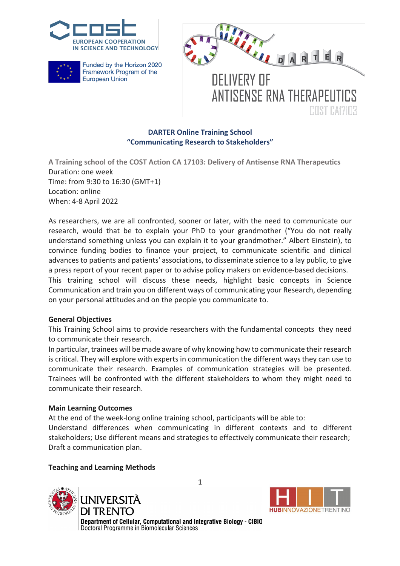





**COST CAYYOR** 

### **DARTER Online Training School "Communicating Research to Stakeholders"**

**A Training school of the COST Action CA 17103: Delivery of Antisense RNA Therapeutics** Duration: one week Time: from 9:30 to 16:30 (GMT+1) Location: online When: 4-8 April 2022

As researchers, we are all confronted, sooner or later, with the need to communicate our research, would that be to explain your PhD to your grandmother ("You do not really understand something unless you can explain it to your grandmother." Albert Einstein), to convince funding bodies to finance your project, to communicate scientific and clinical advances to patients and patients' associations, to disseminate science to a lay public, to give a press report of your recent paper or to advise policy makers on evidence-based decisions. This training school will discuss these needs, highlight basic concepts in Science Communication and train you on different ways of communicating your Research, depending on your personal attitudes and on the people you communicate to.

### **General Objectives**

This Training School aims to provide researchers with the fundamental concepts they need to communicate their research.

In particular, trainees will be made aware of why knowing how to communicate their research is critical. They will explore with experts in communication the different ways they can use to communicate their research. Examples of communication strategies will be presented. Trainees will be confronted with the different stakeholders to whom they might need to communicate their research.

#### **Main Learning Outcomes**

At the end of the week-long online training school, participants will be able to:

Understand differences when communicating in different contexts and to different stakeholders; Use different means and strategies to effectively communicate their research; Draft a communication plan.

### **Teaching and Learning Methods**





Department of Cellular, Computational and Integrative Biology - CIBIO Doctoral Programme in Biomolecular Sciences

1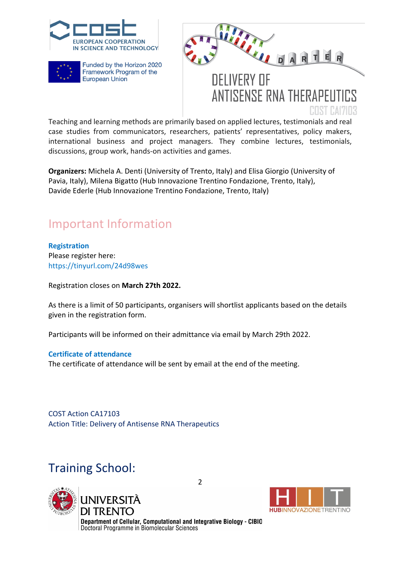





**ANTISENSE RNA THERAPELITICS** 

REST RAYER Teaching and learning methods are primarily based on applied lectures, testimonials and real case studies from communicators, researchers, patients' representatives, policy makers, international business and project managers. They combine lectures, testimonials, discussions, group work, hands-on activities and games.

**Organizers:** Michela A. Denti (University of Trento, Italy) and Elisa Giorgio (University of Pavia, Italy), Milena Bigatto (Hub Innovazione Trentino Fondazione, Trento, Italy), Davide Ederle (Hub Innovazione Trentino Fondazione, Trento, Italy)

# Important Information

**Registration**

Please register here: https://tinyurl.com/24d98wes

Registration closes on **March 27th 2022.**

As there is a limit of 50 participants, organisers will shortlist applicants based on the details given in the registration form.

Participants will be informed on their admittance via email by March 29th 2022.

### **Certificate of attendance**

The certificate of attendance will be sent by email at the end of the meeting.

COST Action CA17103 Action Title: Delivery of Antisense RNA Therapeutics

# Training School:





Department of Cellular, Computational and Integrative Biology - CIBIO Doctoral Programme in Biomolecular Sciences

2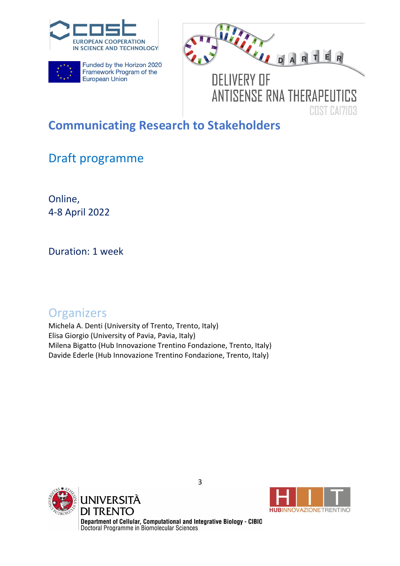





**DELIVERY OF ANTISENSE RNA THERAPEUTICS COST CAYYOR** 

# **Communicating Research to Stakeholders**

# Draft programme

Online, 4-8 April 2022

Duration: 1 week

### **Organizers**

Michela A. Denti (University of Trento, Trento, Italy) Elisa Giorgio (University of Pavia, Pavia, Italy) Milena Bigatto (Hub Innovazione Trentino Fondazione, Trento, Italy) Davide Ederle (Hub Innovazione Trentino Fondazione, Trento, Italy)





Department of Cellular, Computational and Integrative Biology - CIBIO<br>Doctoral Programme in Biomolecular Sciences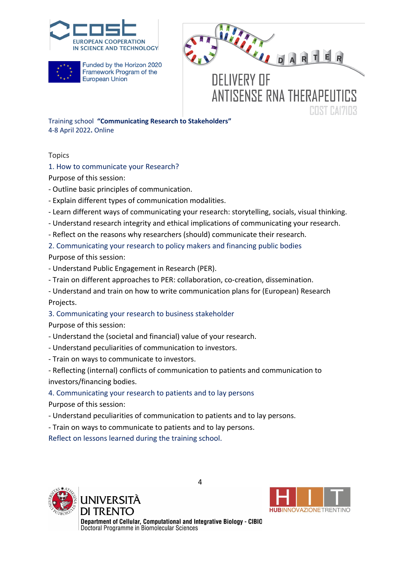





**DELIVERY OF ANTISENSE RNA THERAPELITICS COST CAYLOR** 

Training school **"Communicating Research to Stakeholders"** 4-8 April 2022**.** Online

Topics

1. How to communicate your Research?

Purpose of this session:

- Outline basic principles of communication.
- Explain different types of communication modalities.
- Learn different ways of communicating your research: storytelling, socials, visual thinking.
- Understand research integrity and ethical implications of communicating your research.
- Reflect on the reasons why researchers (should) communicate their research.

2. Communicating your research to policy makers and financing public bodies

- Purpose of this session:
- Understand Public Engagement in Research (PER).
- Train on different approaches to PER: collaboration, co-creation, dissemination.
- Understand and train on how to write communication plans for (European) Research Projects.
- 3. Communicating your research to business stakeholder

Purpose of this session:

- Understand the (societal and financial) value of your research.
- Understand peculiarities of communication to investors.
- Train on ways to communicate to investors.

- Reflecting (internal) conflicts of communication to patients and communication to investors/financing bodies.

### 4. Communicating your research to patients and to lay persons

- Purpose of this session:
- Understand peculiarities of communication to patients and to lay persons.
- Train on ways to communicate to patients and to lay persons.

Reflect on lessons learned during the training school.





Department of Cellular, Computational and Integrative Biology - CIBIO Doctoral Programme in Biomolecular Sciences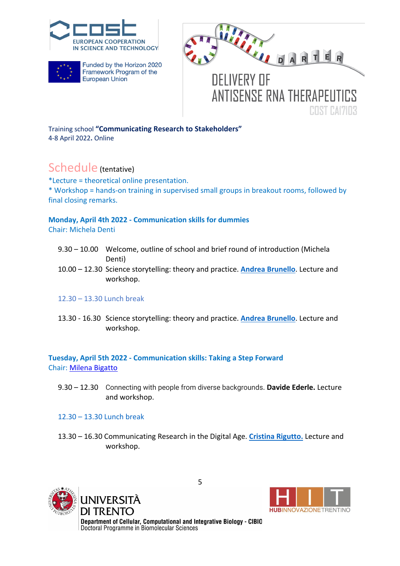





**ANTISENSE RNA THERAPELITICS** 

**COST CAYLOR** 

Training school **"Communicating Research to Stakeholders"** 4-8 April 2022**.** Online

### Schedule (tentative)

\*Lecture = theoretical online presentation. \* Workshop = hands-on training in supervised small groups in breakout rooms, followed by final closing remarks.

### **Monday, April 4th 2022 - Communication skills for dummies**

Chair: Michela Denti

- 9.30 10.00 Welcome, outline of school and brief round of introduction (Michela Denti)
- 10.00 12.30 Science storytelling: theory and practice. **Andrea Brunello**. Lecture and workshop.

### 12.30 – 13.30 Lunch break

13.30 - 16.30 Science storytelling: theory and practice. **Andrea Brunello**. Lecture and workshop.

**Tuesday, April 5th 2022 - Communication skills: Taking a Step Forward** Chair: Milena Bigatto

9.30 – 12.30 Connecting with people from diverse backgrounds. **Davide Ederle.** Lecture and workshop.

### 12.30 – 13.30 Lunch break

13.30 – 16.30 Communicating Research in the Digital Age. **Cristina Rigutto.** Lecture and workshop.





Department of Cellular, Computational and Integrative Biology - CIBIO Doctoral Programme in Biomolecular Sciences